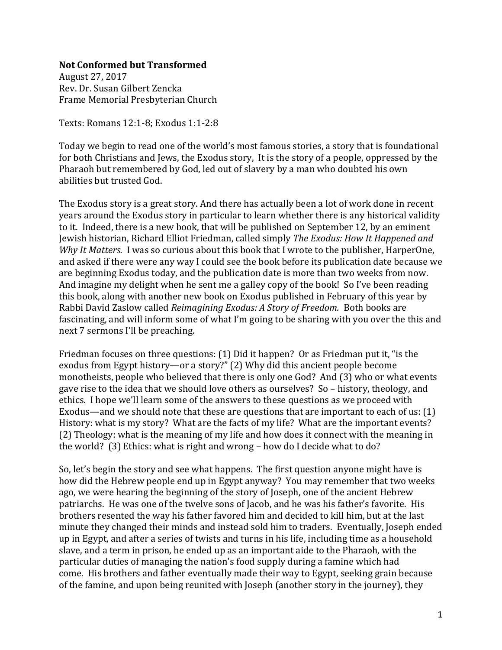## **Not Conformed but Transformed**

August 27, 2017 Rev. Dr. Susan Gilbert Zencka Frame Memorial Presbyterian Church

Texts: Romans 12:1-8; Exodus 1:1-2:8

Today we begin to read one of the world's most famous stories, a story that is foundational for both Christians and Jews, the Exodus story, It is the story of a people, oppressed by the Pharaoh but remembered by God, led out of slavery by a man who doubted his own abilities but trusted God.

The Exodus story is a great story. And there has actually been a lot of work done in recent years around the Exodus story in particular to learn whether there is any historical validity to it. Indeed, there is a new book, that will be published on September 12, by an eminent Jewish historian, Richard Elliot Friedman, called simply *The Exodus: How It Happened and Why It Matters.* I was so curious about this book that I wrote to the publisher, HarperOne, and asked if there were any way I could see the book before its publication date because we are beginning Exodus today, and the publication date is more than two weeks from now. And imagine my delight when he sent me a galley copy of the book! So I've been reading this book, along with another new book on Exodus published in February of this year by Rabbi David Zaslow called *Reimagining Exodus: A Story of Freedom.* Both books are fascinating, and will inform some of what I'm going to be sharing with you over the this and next 7 sermons I'll be preaching.

Friedman focuses on three questions: (1) Did it happen? Or as Friedman put it, "is the exodus from Egypt history—or a story?" (2) Why did this ancient people become monotheists, people who believed that there is only one God? And (3) who or what events gave rise to the idea that we should love others as ourselves? So – history, theology, and ethics. I hope we'll learn some of the answers to these questions as we proceed with Exodus—and we should note that these are questions that are important to each of us: (1) History: what is my story? What are the facts of my life? What are the important events? (2) Theology: what is the meaning of my life and how does it connect with the meaning in the world? (3) Ethics: what is right and wrong – how do I decide what to do?

So, let's begin the story and see what happens. The first question anyone might have is how did the Hebrew people end up in Egypt anyway? You may remember that two weeks ago, we were hearing the beginning of the story of Joseph, one of the ancient Hebrew patriarchs. He was one of the twelve sons of Jacob, and he was his father's favorite. His brothers resented the way his father favored him and decided to kill him, but at the last minute they changed their minds and instead sold him to traders. Eventually, Joseph ended up in Egypt, and after a series of twists and turns in his life, including time as a household slave, and a term in prison, he ended up as an important aide to the Pharaoh, with the particular duties of managing the nation's food supply during a famine which had come. His brothers and father eventually made their way to Egypt, seeking grain because of the famine, and upon being reunited with Joseph (another story in the journey), they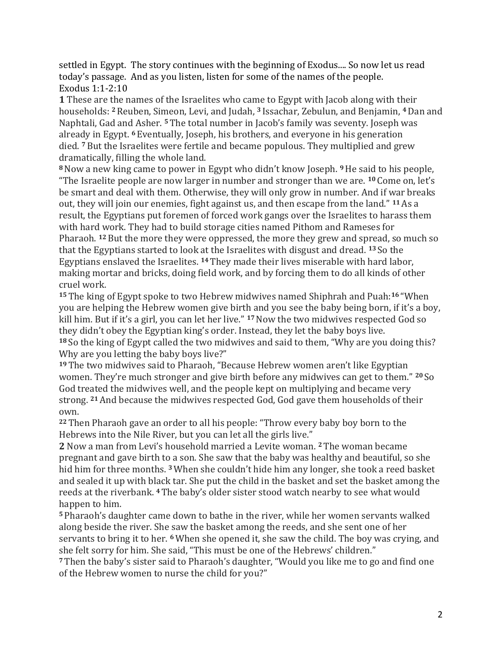settled in Egypt. The story continues with the beginning of Exodus.... So now let us read today's passage. And as you listen, listen for some of the names of the people. Exodus 1:1-2:10

**1** These are the names of the Israelites who came to Egypt with Jacob along with their households: **<sup>2</sup>**Reuben, Simeon, Levi, and Judah, **<sup>3</sup>** Issachar, Zebulun, and Benjamin, **<sup>4</sup>**Dan and Naphtali, Gad and Asher. **<sup>5</sup>** The total number in Jacob's family was seventy. Joseph was already in Egypt. **<sup>6</sup>** Eventually, Joseph, his brothers, and everyone in his generation died. **<sup>7</sup>** But the Israelites were fertile and became populous. They multiplied and grew dramatically, filling the whole land.

**<sup>8</sup>**Now a new king came to power in Egypt who didn't know Joseph. **<sup>9</sup>**He said to his people, "The Israelite people are now larger in number and stronger than we are. **<sup>10</sup>** Come on, let's be smart and deal with them. Otherwise, they will only grow in number. And if war breaks out, they will join our enemies, fight against us, and then escape from the land." **<sup>11</sup>**As a result, the Egyptians put foremen of forced work gangs over the Israelites to harass them with hard work. They had to build storage cities named Pithom and Rameses for Pharaoh. **<sup>12</sup>**But the more they were oppressed, the more they grew and spread, so much so that the Egyptians started to look at the Israelites with disgust and dread. **<sup>13</sup>** So the Egyptians enslaved the Israelites. **<sup>14</sup>** They made their lives miserable with hard labor, making mortar and bricks, doing field work, and by forcing them to do all kinds of other cruel work.

**<sup>15</sup>** The king of Egypt spoke to two Hebrew midwives named Shiphrah and Puah:**<sup>16</sup>** "When you are helping the Hebrew women give birth and you see the baby being born, if it's a boy, kill him. But if it's a girl, you can let her live." **<sup>17</sup>**Now the two midwives respected God so they didn't obey the Egyptian king's order. Instead, they let the baby boys live. **<sup>18</sup>** So the king of Egypt called the two midwives and said to them, "Why are you doing this? Why are you letting the baby boys live?"

**<sup>19</sup>** The two midwives said to Pharaoh, "Because Hebrew women aren't like Egyptian women. They're much stronger and give birth before any midwives can get to them." **<sup>20</sup>** So God treated the midwives well, and the people kept on multiplying and became very strong. **<sup>21</sup>**And because the midwives respected God, God gave them households of their own.

**<sup>22</sup>** Then Pharaoh gave an order to all his people: "Throw every baby boy born to the Hebrews into the Nile River, but you can let all the girls live."

**2** Now a man from Levi's household married a Levite woman. **<sup>2</sup>**The woman became pregnant and gave birth to a son. She saw that the baby was healthy and beautiful, so she hid him for three months. **<sup>3</sup>**When she couldn't hide him any longer, she took a reed basket and sealed it up with black tar. She put the child in the basket and set the basket among the reeds at the riverbank. **<sup>4</sup>** The baby's older sister stood watch nearby to see what would happen to him.

**<sup>5</sup>** Pharaoh's daughter came down to bathe in the river, while her women servants walked along beside the river. She saw the basket among the reeds, and she sent one of her servants to bring it to her. **<sup>6</sup>**When she opened it, she saw the child. The boy was crying, and she felt sorry for him. She said, "This must be one of the Hebrews' children."

**<sup>7</sup>** Then the baby's sister said to Pharaoh's daughter, "Would you like me to go and find one of the Hebrew women to nurse the child for you?"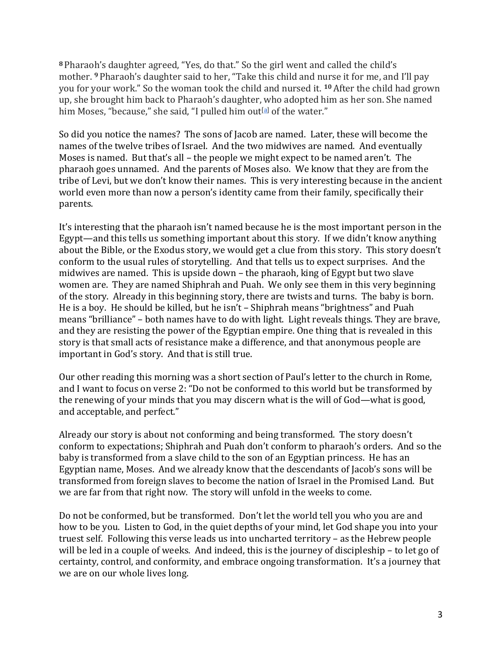**<sup>8</sup>** Pharaoh's daughter agreed, "Yes, do that." So the girl went and called the child's mother. **<sup>9</sup>** Pharaoh's daughter said to her, "Take this child and nurse it for me, and I'll pay you for your work." So the woman took the child and nursed it. **<sup>10</sup>**After the child had grown up, she brought him back to Pharaoh's daughter, who adopted him as her son. She named him Moses, "because," she said, "I pulled him out<sup>[\[a\]](https://www.biblegateway.com/passage/?search=Exodus+1%3A1-2%3A10&version=CEB#fen-CEB-1565a)</sup> of the water."

So did you notice the names? The sons of Jacob are named. Later, these will become the names of the twelve tribes of Israel. And the two midwives are named. And eventually Moses is named. But that's all – the people we might expect to be named aren't. The pharaoh goes unnamed. And the parents of Moses also. We know that they are from the tribe of Levi, but we don't know their names. This is very interesting because in the ancient world even more than now a person's identity came from their family, specifically their parents.

It's interesting that the pharaoh isn't named because he is the most important person in the Egypt—and this tells us something important about this story. If we didn't know anything about the Bible, or the Exodus story, we would get a clue from this story. This story doesn't conform to the usual rules of storytelling. And that tells us to expect surprises. And the midwives are named. This is upside down – the pharaoh, king of Egypt but two slave women are. They are named Shiphrah and Puah. We only see them in this very beginning of the story. Already in this beginning story, there are twists and turns. The baby is born. He is a boy. He should be killed, but he isn't – Shiphrah means "brightness" and Puah means "brilliance" – both names have to do with light. Light reveals things. They are brave, and they are resisting the power of the Egyptian empire. One thing that is revealed in this story is that small acts of resistance make a difference, and that anonymous people are important in God's story. And that is still true.

Our other reading this morning was a short section of Paul's letter to the church in Rome, and I want to focus on verse 2: "Do not be conformed to this world but be transformed by the renewing of your minds that you may discern what is the will of God—what is good, and acceptable, and perfect."

Already our story is about not conforming and being transformed. The story doesn't conform to expectations; Shiphrah and Puah don't conform to pharaoh's orders. And so the baby is transformed from a slave child to the son of an Egyptian princess. He has an Egyptian name, Moses. And we already know that the descendants of Jacob's sons will be transformed from foreign slaves to become the nation of Israel in the Promised Land. But we are far from that right now. The story will unfold in the weeks to come.

Do not be conformed, but be transformed. Don't let the world tell you who you are and how to be you. Listen to God, in the quiet depths of your mind, let God shape you into your truest self. Following this verse leads us into uncharted territory – as the Hebrew people will be led in a couple of weeks. And indeed, this is the journey of discipleship – to let go of certainty, control, and conformity, and embrace ongoing transformation. It's a journey that we are on our whole lives long.